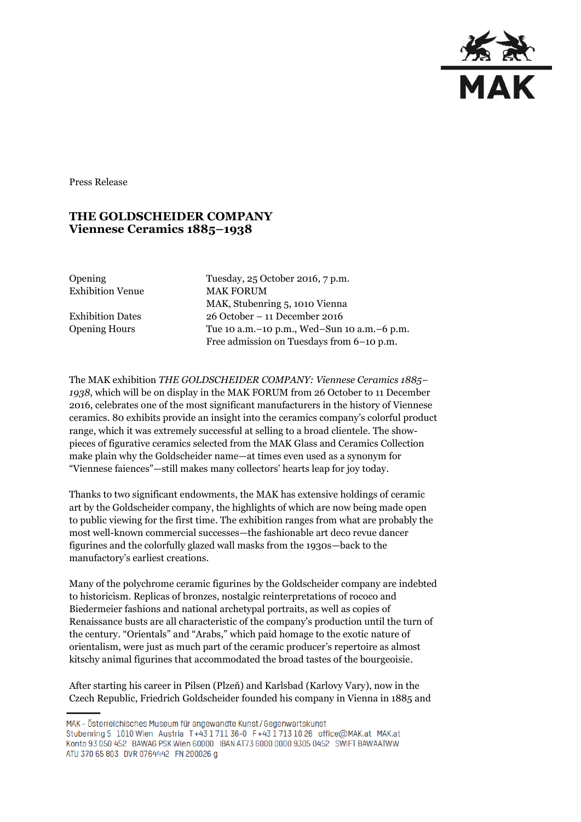

Press Release

## **THE GOLDSCHEIDER COMPANY Viennese Ceramics 1885–1938**

Exhibition Venue MAK FORUM

Opening Tuesday, 25 October 2016, 7 p.m. MAK, Stubenring 5, 1010 Vienna Exhibition Dates 26 October – 11 December 2016 Opening Hours Tue 10 a.m.–10 p.m., Wed–Sun 10 a.m.–6 p.m. Free admission on Tuesdays from 6–10 p.m.

The MAK exhibition *THE GOLDSCHEIDER COMPANY: Viennese Ceramics 1885– 1938*, which will be on display in the MAK FORUM from 26 October to 11 December 2016, celebrates one of the most significant manufacturers in the history of Viennese ceramics. 80 exhibits provide an insight into the ceramics company's colorful product range, which it was extremely successful at selling to a broad clientele. The showpieces of figurative ceramics selected from the MAK Glass and Ceramics Collection make plain why the Goldscheider name—at times even used as a synonym for "Viennese faiences"—still makes many collectors' hearts leap for joy today.

Thanks to two significant endowments, the MAK has extensive holdings of ceramic art by the Goldscheider company, the highlights of which are now being made open to public viewing for the first time. The exhibition ranges from what are probably the most well-known commercial successes—the fashionable art deco revue dancer figurines and the colorfully glazed wall masks from the 1930s—back to the manufactory's earliest creations.

Many of the polychrome ceramic figurines by the Goldscheider company are indebted to historicism. Replicas of bronzes, nostalgic reinterpretations of rococo and Biedermeier fashions and national archetypal portraits, as well as copies of Renaissance busts are all characteristic of the company's production until the turn of the century. "Orientals" and "Arabs," which paid homage to the exotic nature of orientalism, were just as much part of the ceramic producer's repertoire as almost kitschy animal figurines that accommodated the broad tastes of the bourgeoisie.

After starting his career in Pilsen (Plzeň) and Karlsbad (Karlovy Vary), now in the Czech Republic, Friedrich Goldscheider founded his company in Vienna in 1885 and

MAK - Österreichisches Museum für angewandte Kunst/Gegenwartskunst Stubenring 5 1010 Wien Austria T+43 1 711 36-0 F+43 1 713 10 26 office@MAK.at MAK.at Konto 93 050 452 BAWAG PSK Wien 60000 IBAN AT73 6000 0000 9305 0452 SWIFT BAWAATWW ATU 370 65 803 DVR 0764442 FN 200026 g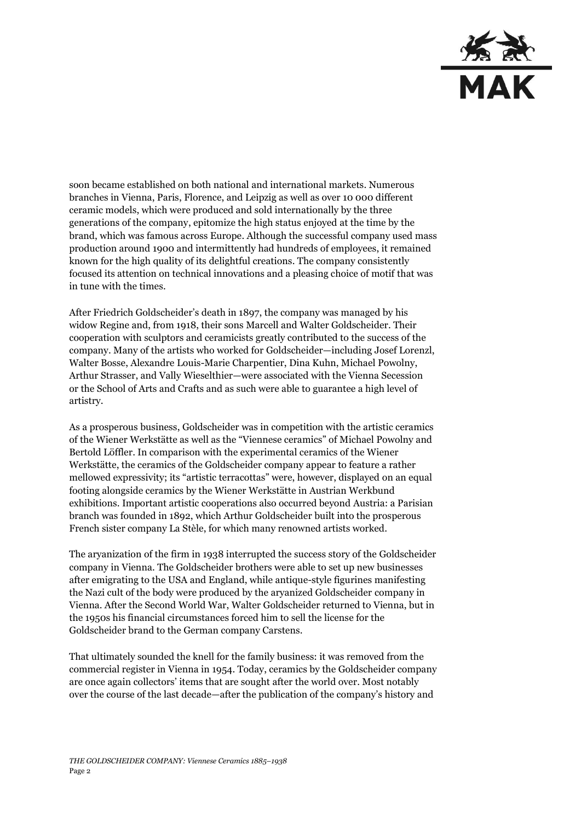

soon became established on both national and international markets. Numerous branches in Vienna, Paris, Florence, and Leipzig as well as over 10 000 different ceramic models, which were produced and sold internationally by the three generations of the company, epitomize the high status enjoyed at the time by the brand, which was famous across Europe. Although the successful company used mass production around 1900 and intermittently had hundreds of employees, it remained known for the high quality of its delightful creations. The company consistently focused its attention on technical innovations and a pleasing choice of motif that was in tune with the times.

After Friedrich Goldscheider's death in 1897, the company was managed by his widow Regine and, from 1918, their sons Marcell and Walter Goldscheider. Their cooperation with sculptors and ceramicists greatly contributed to the success of the company. Many of the artists who worked for Goldscheider—including Josef Lorenzl, Walter Bosse, Alexandre Louis-Marie Charpentier, Dina Kuhn, Michael Powolny, Arthur Strasser, and Vally Wieselthier—were associated with the Vienna Secession or the School of Arts and Crafts and as such were able to guarantee a high level of artistry.

As a prosperous business, Goldscheider was in competition with the artistic ceramics of the Wiener Werkstätte as well as the "Viennese ceramics" of Michael Powolny and Bertold Löffler. In comparison with the experimental ceramics of the Wiener Werkstätte, the ceramics of the Goldscheider company appear to feature a rather mellowed expressivity; its "artistic terracottas" were, however, displayed on an equal footing alongside ceramics by the Wiener Werkstätte in Austrian Werkbund exhibitions. Important artistic cooperations also occurred beyond Austria: a Parisian branch was founded in 1892, which Arthur Goldscheider built into the prosperous French sister company La Stèle, for which many renowned artists worked.

The aryanization of the firm in 1938 interrupted the success story of the Goldscheider company in Vienna. The Goldscheider brothers were able to set up new businesses after emigrating to the USA and England, while antique-style figurines manifesting the Nazi cult of the body were produced by the aryanized Goldscheider company in Vienna. After the Second World War, Walter Goldscheider returned to Vienna, but in the 1950s his financial circumstances forced him to sell the license for the Goldscheider brand to the German company Carstens.

That ultimately sounded the knell for the family business: it was removed from the commercial register in Vienna in 1954. Today, ceramics by the Goldscheider company are once again collectors' items that are sought after the world over. Most notably over the course of the last decade—after the publication of the company's history and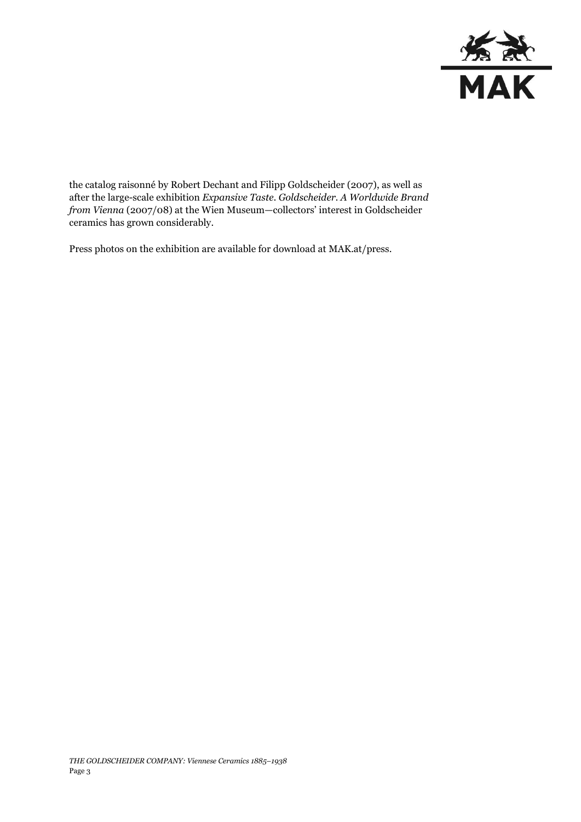

the catalog raisonné by Robert Dechant and Filipp Goldscheider (2007), as well as after the large-scale exhibition *Expansive Taste. Goldscheider. A Worldwide Brand from Vienna* (2007/08) at the Wien Museum—collectors' interest in Goldscheider ceramics has grown considerably.

Press photos on the exhibition are available for download at MAK.at/press.